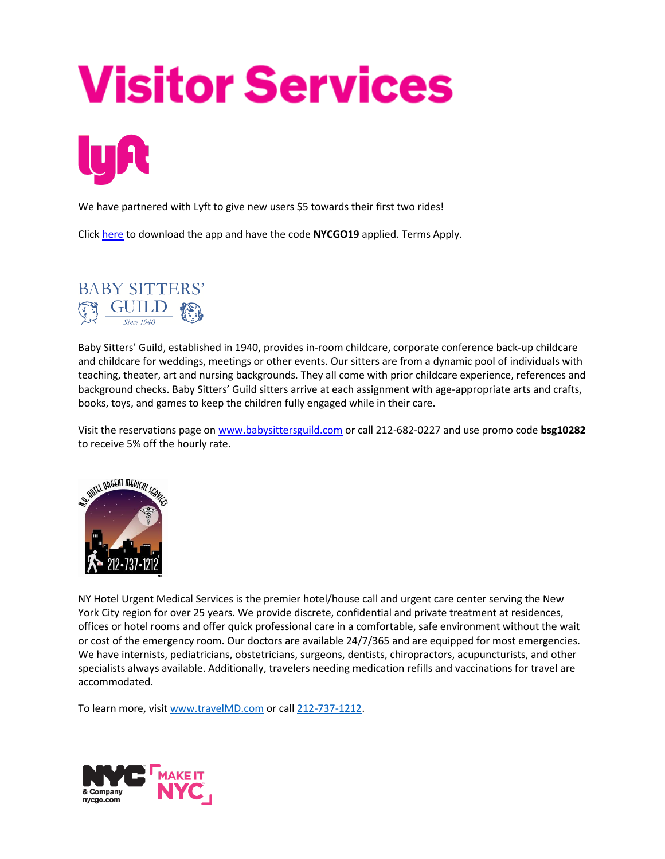## **Visitor Services**

We have partnered with Lyft to give new users \$5 towards their first two rides!

Click [here](https://www.lyft.com/invite/nycgo19) to download the app and have the code **NYCGO19** applied. Terms Apply.



Baby Sitters' Guild, established in 1940, provides in-room childcare, corporate conference back-up childcare and childcare for weddings, meetings or other events. Our sitters are from a dynamic pool of individuals with teaching, theater, art and nursing backgrounds. They all come with prior childcare experience, references and background checks. Baby Sitters' Guild sitters arrive at each assignment with age-appropriate arts and crafts, books, toys, and games to keep the children fully engaged while in their care.

Visit the reservations page on [www.babysittersguild.com](http://www.babysittersguild.com/) or call 212-682-0227 and use promo code **bsg10282**  to receive 5% off the hourly rate.



NY Hotel Urgent Medical Services is the premier hotel/house call and urgent care center serving the New York City region for over 25 years. We provide discrete, confidential and private treatment at residences, offices or hotel rooms and offer quick professional care in a comfortable, safe environment without the wait or cost of the emergency room. Our doctors are available 24/7/365 and are equipped for most emergencies. We have internists, pediatricians, obstetricians, surgeons, dentists, chiropractors, acupuncturists, and other specialists always available. Additionally, travelers needing medication refills and vaccinations for travel are accommodated.

To learn more, visi[t www.travelMD.com](http://www.travelmd.com/) or cal[l 212-737-1212.](tel:%28212%29%20737-1212)

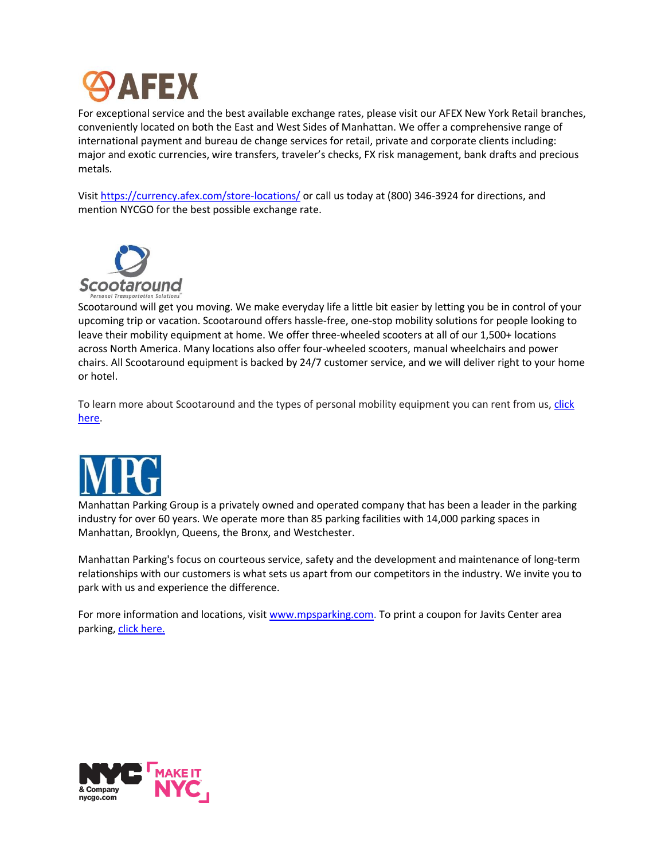

For exceptional service and the best available exchange rates, please visit our AFEX New York Retail branches, conveniently located on both the East and West Sides of Manhattan. We offer a comprehensive range of international payment and bureau de change services for retail, private and corporate clients including: major and exotic currencies, wire transfers, traveler's checks, FX risk management, bank drafts and precious metals.

Visit https://currency.afex.com/store-locations/ or call us today at (800) 346-3924 for directions, and mention NYCGO for the best possible exchange rate.



Scootaround will get you moving. We make everyday life a little bit easier by letting you be in control of your upcoming trip or vacation. Scootaround offers hassle-free, one-stop mobility solutions for people looking to leave their mobility equipment at home. We offer three-wheeled scooters at all of our 1,500+ locations across North America. Many locations also offer four-wheeled scooters, manual wheelchairs and power chairs. All Scootaround equipment is backed by 24/7 customer service, and we will deliver right to your home or hotel.

To learn more about Scootaround and the types of personal mobility equipment you can rent from us, click [here.](http://www.scootaround.com/rent-online)



Manhattan Parking Group is a privately owned and operated company that has been a leader in the parking industry for over 60 years. We operate more than 85 parking facilities with 14,000 parking spaces in Manhattan, Brooklyn, Queens, the Bronx, and Westchester.

Manhattan Parking's focus on courteous service, safety and the development and maintenance of long-term relationships with our customers is what sets us apart from our competitors in the industry. We invite you to park with us and experience the difference.

For more information and locations, visit [www.mpsparking.com.](http://www.mpsparking.com/) To print a coupon for Javits Center area parking, [click here.](https://mpsparking.com/view_special_coupon?coupon=96)